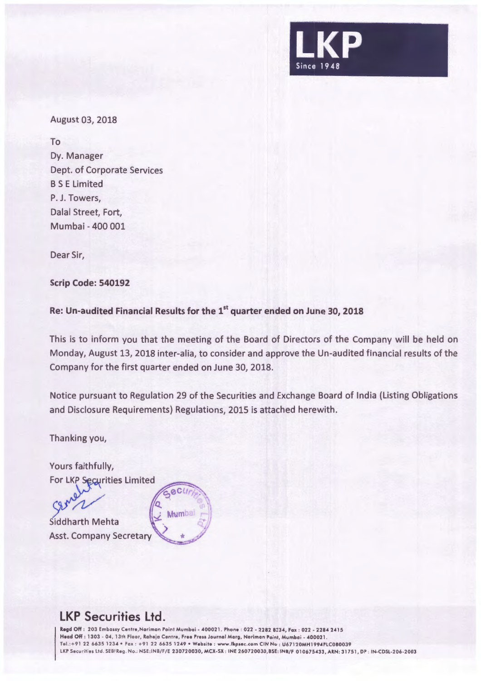

August 03, 2018

To Dy. Manager Dept. of Corporate Services BS E Limited P. J. Towers, Dalal Street, Fort, Mumbai - 400 001

Dear Sir,

**Scrip Code: 540192** 

**Re: Un-audited Financial Results for the 1st quarter ended on June 30, 2018** 

**ACLI** 

Mumbal

This is to inform you that the meeting of the Board of Directors of the Company will be held on Monday, August 13, 2018 inter-alia, to consider and approve the Un-audited financial results of the Company for the first quarter ended on June 30, 2018.

Notice pursuant to Regulation 29 of the Securities and Exchange Board of India (Listing Obligations and Disclosure Requirements) Regulations, 2015 is attached herewith.

Thanking you,

Yours faithfully, For LKP Securities Limited

Siddharth Mehta Asst. Company Secretary

## **LKP Securities Ltd.**

**Regd** Off : 203 Embassy Centre,Nariman Paint Mumbai - 400021 . Phone . 022 - 2282 8234, Fax : 022 - 2284 2415 Head Off: 1303 - 04, 13th Floor, Raheja Centre, Free Press Journal Marg, Noriman Point, Mumbai - 400021. Tel.:+ 91 22 6635 1234 •Fox: + 91 22 6635 1249 •Website : www.lkpsec .com CIN No : U67120MH1994PLC080039 LKP Securities Ltd. SEBI Reg. No.: NSE:INB/F/E 230720030, MCX-SX : INE 260720030, BSE: INB/F 010675433, ARN: 31751, DP : IN-CDSL-206-2003